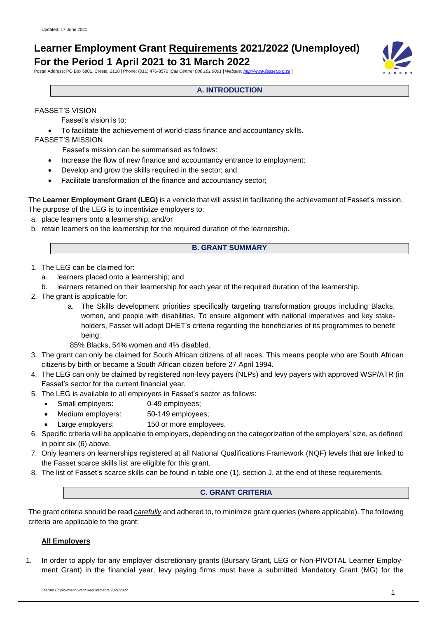# **Learner Employment Grant Requirements 2021/2022 (Unemployed) For the Period 1 April 2021 to 31 March 2022**

Postal Address: PO Box 6801, Cresta, 2118 | Phone: (011) 476-8570 |*Call Centre: 086 101 0001 | Website: [http://www.fasset.org.za](http://www.fasset.org.za/) |*



# FASSET'S VISION

Fasset's vision is to:

• To facilitate the achievement of world-class finance and accountancy skills.

# FASSET'S MISSION

- Fasset's mission can be summarised as follows:
- Increase the flow of new finance and accountancy entrance to employment;
- Develop and grow the skills required in the sector; and
- Facilitate transformation of the finance and accountancy sector;

The **Learner Employment Grant (LEG)** is a vehicle that will assist in facilitating the achievement of Fasset's mission. The purpose of the LEG is to incentivize employers to:

- a. place learners onto a learnership; and/or
- b. retain learners on the learnership for the required duration of the learnership.

# **B. GRANT SUMMARY**

- 1. The LEG can be claimed for:
	- a. learners placed onto a learnership; and
	- b. learners retained on their learnership for each year of the required duration of the learnership.
- 2. The grant is applicable for:
	- a. The Skills development priorities specifically targeting transformation groups including Blacks, women, and people with disabilities. To ensure alignment with national imperatives and key stakeholders, Fasset will adopt DHET's criteria regarding the beneficiaries of its programmes to benefit being:
	- 85% Blacks, 54% women and 4% disabled.
- 3. The grant can only be claimed for South African citizens of all races. This means people who are South African citizens by birth or became a South African citizen before 27 April 1994.
- 4. The LEG can only be claimed by registered non-levy payers (NLPs) and levy payers with approved WSP/ATR (in Fasset's sector for the current financial year.
- 5. The LEG is available to all employers in Fasset's sector as follows:
	- Small employers: 0-49 employees;
	- Medium employers: 50-149 employees;
	- Large employers: 150 or more employees.
- 6. Specific criteria will be applicable to employers, depending on the categorization of the employers' size, as defined in point six (6) above.
- 7. Only learners on learnerships registered at all National Qualifications Framework (NQF) levels that are linked to the Fasset scarce skills list are eligible for this grant.
- 8. The list of Fasset's scarce skills can be found in table one (1), section J, at the end of these requirements.

### **C. GRANT CRITERIA**

The grant criteria should be read *carefully* and adhered to, to minimize grant queries (where applicable). The following criteria are applicable to the grant:

# **All Employers**

1. In order to apply for any employer discretionary grants (Bursary Grant, LEG or Non-PIVOTAL Learner Employment Grant) in the financial year, levy paying firms must have a submitted Mandatory Grant (MG) for the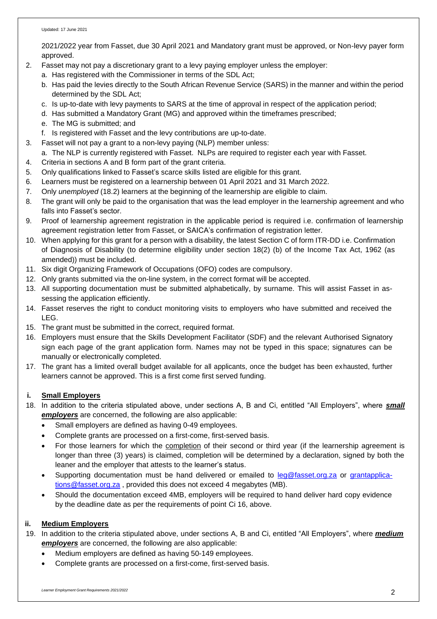2021/2022 year from Fasset, due 30 April 2021 and Mandatory grant must be approved, or Non-levy payer form approved.

- 2. Fasset may not pay a discretionary grant to a levy paying employer unless the employer:
	- a. Has registered with the Commissioner in terms of the SDL Act;
	- b. Has paid the levies directly to the South African Revenue Service (SARS) in the manner and within the period determined by the SDL Act;
	- c. Is up-to-date with levy payments to SARS at the time of approval in respect of the application period;
	- d. Has submitted a Mandatory Grant (MG) and approved within the timeframes prescribed;
	- e. The MG is submitted; and
	- f. Is registered with Fasset and the levy contributions are up-to-date.
- 3. Fasset will not pay a grant to a non-levy paying (NLP) member unless:
- a. The NLP is currently registered with Fasset. NLPs are required to register each year with Fasset.
- 4. Criteria in sections A and B form part of the grant criteria.
- 5. Only qualifications linked to Fasset's scarce skills listed are eligible for this grant.
- 6. Learners must be registered on a learnership between 01 April 2021 and 31 March 2022.
- 7. Only *unemployed* (18.2) learners at the beginning of the learnership are eligible to claim.
- 8. The grant will only be paid to the organisation that was the lead employer in the learnership agreement and who falls into Fasset's sector.
- 9. Proof of learnership agreement registration in the applicable period is required i.e. confirmation of learnership agreement registration letter from Fasset, or SAICA's confirmation of registration letter.
- 10. When applying for this grant for a person with a disability, the latest Section C of form ITR-DD i.e. Confirmation of Diagnosis of Disability (to determine eligibility under section 18(2) (b) of the Income Tax Act, 1962 (as amended)) must be included.
- 11. Six digit Organizing Framework of Occupations (OFO) codes are compulsory.
- 12. Only grants submitted via the on-line system, in the correct format will be accepted.
- 13. All supporting documentation must be submitted alphabetically, by surname. This will assist Fasset in assessing the application efficiently.
- 14. Fasset reserves the right to conduct monitoring visits to employers who have submitted and received the LEG.
- 15. The grant must be submitted in the correct, required format.
- 16. Employers must ensure that the Skills Development Facilitator (SDF) and the relevant Authorised Signatory sign each page of the grant application form. Names may not be typed in this space; signatures can be manually or electronically completed.
- 17. The grant has a limited overall budget available for all applicants, once the budget has been exhausted, further learners cannot be approved. This is a first come first served funding.

# **i. Small Employers**

- 18. In addition to the criteria stipulated above, under sections A, B and Ci, entitled "All Employers", where *small employers* are concerned, the following are also applicable:
	- Small employers are defined as having 0-49 employees.
	- Complete grants are processed on a first-come, first-served basis.
	- For those learners for which the completion of their second or third year (if the learnership agreement is longer than three (3) years) is claimed, completion will be determined by a declaration, signed by both the leaner and the employer that attests to the learner's status.
	- Supporting documentation must be hand delivered or emailed to [leg@fasset.org.za](mailto:leg@fasset.org.za) or [grantapplica](mailto:grantapplications@fasset.org.za)[tions@fasset.org.za](mailto:grantapplications@fasset.org.za), provided this does not exceed 4 megabytes (MB).
	- Should the documentation exceed 4MB, employers will be required to hand deliver hard copy evidence by the deadline date as per the requirements of point Ci 16, above.

# **ii. Medium Employers**

- 19. In addition to the criteria stipulated above, under sections A, B and Ci, entitled "All Employers", where *medium employers* are concerned, the following are also applicable:
	- Medium employers are defined as having 50-149 employees.
	- Complete grants are processed on a first-come, first-served basis.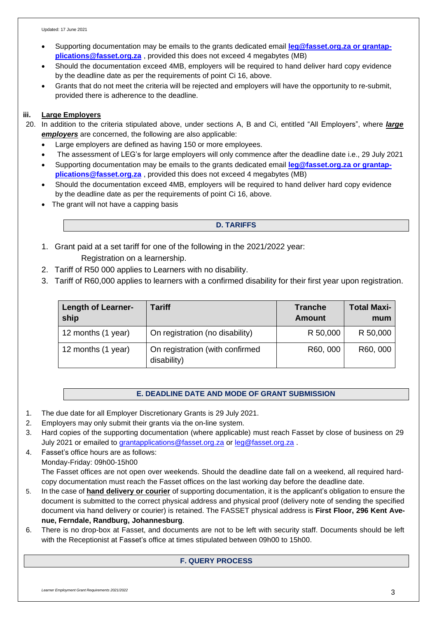- Supporting documentation may be emails to the grants dedicated email **[leg@fasset.org.za](mailto:leg@fasset.org.za) or grantap[plications@fasset.org.za](mailto:plications@fasset.org.za)** , provided this does not exceed 4 megabytes (MB)
- Should the documentation exceed 4MB, employers will be required to hand deliver hard copy evidence by the deadline date as per the requirements of point Ci 16, above.
- Grants that do not meet the criteria will be rejected and employers will have the opportunity to re-submit, provided there is adherence to the deadline.

# **iii. Large Employers**

- 20. In addition to the criteria stipulated above, under sections A, B and Ci, entitled "All Employers", where *large employers* are concerned, the following are also applicable:
	- Large employers are defined as having 150 or more employees.
	- The assessment of LEG's for large employers will only commence after the deadline date i.e., 29 July 2021
	- Supporting documentation may be emails to the grants dedicated email **[leg@fasset.org.za](mailto:leg@fasset.org.za) or grantap[plications@fasset.org.za](mailto:plications@fasset.org.za)** , provided this does not exceed 4 megabytes (MB)
	- Should the documentation exceed 4MB, employers will be required to hand deliver hard copy evidence by the deadline date as per the requirements of point Ci 16, above.
	- The grant will not have a capping basis

# **D. TARIFFS**

- 1. Grant paid at a set tariff for one of the following in the 2021/2022 year: Registration on a learnership.
- 2. Tariff of R50 000 applies to Learners with no disability.
- 3. Tariff of R60,000 applies to learners with a confirmed disability for their first year upon registration.

| <b>Length of Learner-</b><br>ship | <b>Tariff</b>                                  | <b>Tranche</b><br>Amount | <b>Total Maxi-</b><br>mum |
|-----------------------------------|------------------------------------------------|--------------------------|---------------------------|
| 12 months (1 year)                | On registration (no disability)                | R 50,000                 | R 50,000                  |
| 12 months (1 year)                | On registration (with confirmed<br>disability) | R60, 000                 | R60, 000                  |

# **E. DEADLINE DATE AND MODE OF GRANT SUBMISSION**

- 1. The due date for all Employer Discretionary Grants is 29 July 2021.
- 2. Employers may only submit their grants via the on-line system.
- 3. Hard copies of the supporting documentation (where applicable) must reach Fasset by close of business on 29 July 2021 or emailed to [grantapplications@fasset.org.za](mailto:grantapplications@fasset.org.za) or [leg@fasset.org.za](mailto:leg@fasset.org.za).
- 4. Fasset's office hours are as follows: Monday-Friday: 09h00-15h00 The Fasset offices are not open over weekends. Should the deadline date fall on a weekend, all required hardcopy documentation must reach the Fasset offices on the last working day before the deadline date.
- 5. In the case of **hand delivery or courier** of supporting documentation, it is the applicant's obligation to ensure the document is submitted to the correct physical address and physical proof (delivery note of sending the specified document via hand delivery or courier) is retained. The FASSET physical address is **First Floor, 296 Kent Avenue, Ferndale, Randburg, Johannesburg**.
- 6. There is no drop-box at Fasset, and documents are not to be left with security staff. Documents should be left with the Receptionist at Fasset's office at times stipulated between 09h00 to 15h00.

# **F. QUERY PROCESS**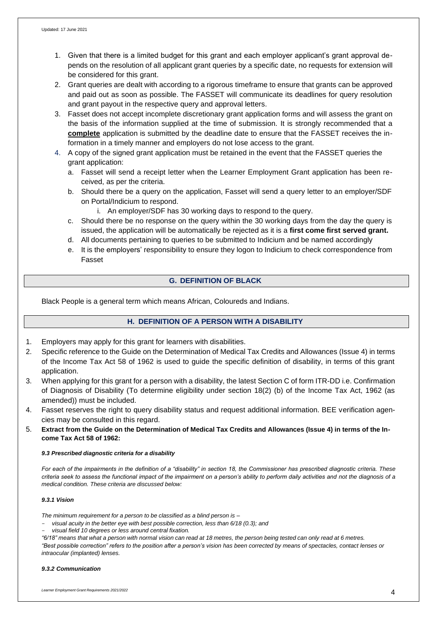- 1. Given that there is a limited budget for this grant and each employer applicant's grant approval depends on the resolution of all applicant grant queries by a specific date, no requests for extension will be considered for this grant.
- 2. Grant queries are dealt with according to a rigorous timeframe to ensure that grants can be approved and paid out as soon as possible. The FASSET will communicate its deadlines for query resolution and grant payout in the respective query and approval letters.
- 3. Fasset does not accept incomplete discretionary grant application forms and will assess the grant on the basis of the information supplied at the time of submission. It is strongly recommended that a **complete** application is submitted by the deadline date to ensure that the FASSET receives the information in a timely manner and employers do not lose access to the grant.
- 4. A copy of the signed grant application must be retained in the event that the FASSET queries the grant application:
	- a. Fasset will send a receipt letter when the Learner Employment Grant application has been received, as per the criteria.
	- b. Should there be a query on the application, Fasset will send a query letter to an employer/SDF on Portal/Indicium to respond.
		- i. An employer/SDF has 30 working days to respond to the query.
	- c. Should there be no response on the query within the 30 working days from the day the query is issued, the application will be automatically be rejected as it is a **first come first served grant.**
	- d. All documents pertaining to queries to be submitted to Indicium and be named accordingly
	- e. It is the employers' responsibility to ensure they logon to Indicium to check correspondence from Fasset

# **G. DEFINITION OF BLACK**

Black People is a general term which means African, Coloureds and Indians.

# **H. DEFINITION OF A PERSON WITH A DISABILITY**

- 1. Employers may apply for this grant for learners with disabilities.
- 2. Specific reference to the Guide on the Determination of Medical Tax Credits and Allowances (Issue 4) in terms of the Income Tax Act 58 of 1962 is used to guide the specific definition of disability, in terms of this grant application.
- 3. When applying for this grant for a person with a disability, the latest Section C of form ITR-DD i.e. Confirmation of Diagnosis of Disability (To determine eligibility under section 18(2) (b) of the Income Tax Act, 1962 (as amended)) must be included.
- 4. Fasset reserves the right to query disability status and request additional information. BEE verification agencies may be consulted in this regard.
- 5. **Extract from the Guide on the Determination of Medical Tax Credits and Allowances (Issue 4) in terms of the Income Tax Act 58 of 1962:**

#### *9.3 Prescribed diagnostic criteria for a disability*

*For each of the impairments in the definition of a "disability" in section 18, the Commissioner has prescribed diagnostic criteria. These criteria seek to assess the functional impact of the impairment on a person's ability to perform daily activities and not the diagnosis of a medical condition. These criteria are discussed below:*

#### *9.3.1 Vision*

*The minimum requirement for a person to be classified as a blind person is –*

- *visual acuity in the better eye with best possible correction, less than 6/18 (0.3); and*
- *visual field 10 degrees or less around central fixation.*
- "6/18" means that what a person with normal vision can read at 18 metres, the person being tested can only read at 6 metres.

*"Best possible correction" refers to the position after a person's vision has been corrected by means of spectacles, contact lenses or intraocular (implanted) lenses.*

#### *9.3.2 Communication*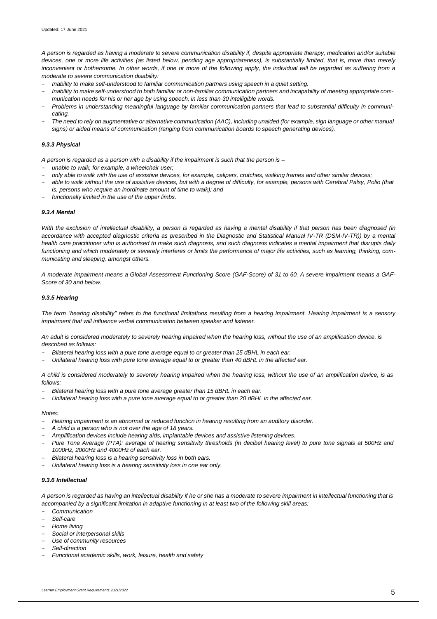A person is regarded as having a moderate to severe communication disability if, despite appropriate therapy, medication and/or suitable *devices, one or more life activities (as listed below, pending age appropriateness), is substantially limited, that is, more than merely inconvenient or bothersome. In other words, if one or more of the following apply, the individual will be regarded as suffering from a moderate to severe communication disability:*

- *Inability to make self-understood to familiar communication partners using speech in a quiet setting.*
- Inability to make self-understood to both familiar or non-familiar communication partners and incapability of meeting appropriate com*munication needs for his or her age by using speech, in less than 30 intelligible words.*
- Problems in understanding meaningful language by familiar communication partners that lead to substantial difficulty in communi*cating.*
- The need to rely on augmentative or alternative communication (AAC), including unaided (for example, sign language or other manual *signs) or aided means of communication (ranging from communication boards to speech generating devices).*

#### *9.3.3 Physical*

*A person is regarded as a person with a disability if the impairment is such that the person is –*

- *unable to walk, for example, a wheelchair user;*
- only able to walk with the use of assistive devices, for example, calipers, crutches, walking frames and other similar devices;
- *able to walk without the use of assistive devices, but with a degree of difficulty, for example, persons with Cerebral Palsy, Polio (that is, persons who require an inordinate amount of time to walk); and*
- *functionally limited in the use of the upper limbs.*

#### *9.3.4 Mental*

*With the exclusion of intellectual disability, a person is regarded as having a mental disability if that person has been diagnosed (in accordance with accepted diagnostic criteria as prescribed in the Diagnostic and Statistical Manual IV-TR (DSM-IV-TR)) by a mental health care practitioner who is authorised to make such diagnosis, and such diagnosis indicates a mental impairment that disrupts daily functioning and which moderately or severely interferes or limits the performance of major life activities, such as learning, thinking, communicating and sleeping, amongst others.*

*A moderate impairment means a Global Assessment Functioning Score (GAF-Score) of 31 to 60. A severe impairment means a GAF-Score of 30 and below.*

#### *9.3.5 Hearing*

*The term "hearing disability" refers to the functional limitations resulting from a hearing impairment. Hearing impairment is a sensory impairment that will influence verbal communication between speaker and listener.*

*An adult is considered moderately to severely hearing impaired when the hearing loss, without the use of an amplification device, is described as follows:*

- *Bilateral hearing loss with a pure tone average equal to or greater than 25 dBHL in each ear.*
- Unilateral hearing loss with pure tone average equal to or greater than 40 dBHL in the affected ear.

A child is considered moderately to severely hearing impaired when the hearing loss, without the use of an amplification device, is as *follows:*

- *Bilateral hearing loss with a pure tone average greater than 15 dBHL in each ear.*
- Unilateral hearing loss with a pure tone average equal to or greater than 20 dBHL in the affected ear.

#### *Notes:*

- *Hearing impairment is an abnormal or reduced function in hearing resulting from an auditory disorder.*
- *A child is a person who is not over the age of 18 years.*
- *Amplification devices include hearing aids, implantable devices and assistive listening devices.*
- Pure Tone Average (PTA): average of hearing sensitivity thresholds (in decibel hearing level) to pure tone signals at 500Hz and *1000Hz, 2000Hz and 4000Hz of each ear.*
- *Bilateral hearing loss is a hearing sensitivity loss in both ears.*
- *Unilateral hearing loss is a hearing sensitivity loss in one ear only.*

#### *9.3.6 Intellectual*

A person is regarded as having an intellectual disability if he or she has a moderate to severe impairment in intellectual functioning that is *accompanied by a significant limitation in adaptive functioning in at least two of the following skill areas:*

- *Communication*
- *Self-care*
- *Home living*
- *Social or interpersonal skills*
- *Use of community resources*
- *Self-direction*
- *Functional academic skills, work, leisure, health and safety*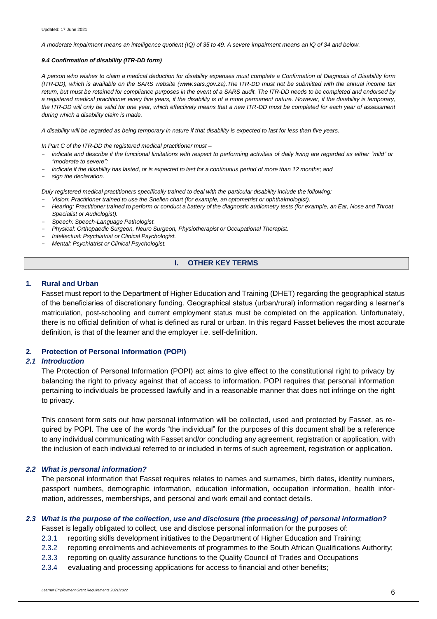A moderate impairment means an intelligence quotient (IQ) of 35 to 49. A severe impairment means an IQ of 34 and below.

#### *9.4 Confirmation of disability (ITR-DD form)*

*A person who wishes to claim a medical deduction for disability expenses must complete a Confirmation of Diagnosis of Disability form (ITR-DD), which is available on the SARS website (www.sars.gov.za).The ITR-DD must not be submitted with the annual income tax* return, but must be retained for compliance purposes in the event of a SARS audit. The ITR-DD needs to be completed and endorsed by *a registered medical practitioner every five years, if the disability is of a more permanent nature. However, if the disability is temporary, the ITR-DD will only be valid for one year, which effectively means that a new ITR-DD must be completed for each year of assessment during which a disability claim is made.*

*A disability will be regarded as being temporary in nature if that disability is expected to last for less than five years.*

*In Part C of the ITR-DD the registered medical practitioner must –*

- indicate and describe if the functional limitations with respect to performing activities of daily living are regarded as either "mild" or *"moderate to severe";*
- indicate if the disability has lasted, or is expected to last for a continuous period of more than 12 months; and
- *sign the declaration.*

*Duly registered medical practitioners specifically trained to deal with the particular disability include the following:*

- *Vision: Practitioner trained to use the Snellen chart (for example, an optometrist or ophthalmologist).*
- Hearing: Practitioner trained to perform or conduct a battery of the diagnostic audiometry tests (for example, an Ear, Nose and Throat *Specialist or Audiologist).*
- *Speech: Speech-Language Pathologist.*
- *Physical: Orthopaedic Surgeon, Neuro Surgeon, Physiotherapist or Occupational Therapist.*
- *Intellectual: Psychiatrist or Clinical Psychologist.*
- *Mental: Psychiatrist or Clinical Psychologist.*

### **I. OTHER KEY TERMS**

### **1. Rural and Urban**

Fasset must report to the Department of Higher Education and Training (DHET) regarding the geographical status of the beneficiaries of discretionary funding. Geographical status (urban/rural) information regarding a learner's matriculation, post-schooling and current employment status must be completed on the application. Unfortunately, there is no official definition of what is defined as rural or urban. In this regard Fasset believes the most accurate definition, is that of the learner and the employer i.e. self-definition.

### **2. Protection of Personal Information (POPI)**

### *2.1 Introduction*

The Protection of Personal Information (POPI) act aims to give effect to the constitutional right to privacy by balancing the right to privacy against that of access to information. POPI requires that personal information pertaining to individuals be processed lawfully and in a reasonable manner that does not infringe on the right to privacy.

This consent form sets out how personal information will be collected, used and protected by Fasset, as required by POPI. The use of the words "the individual" for the purposes of this document shall be a reference to any individual communicating with Fasset and/or concluding any agreement, registration or application, with the inclusion of each individual referred to or included in terms of such agreement, registration or application.

### *2.2 What is personal information?*

The personal information that Fasset requires relates to names and surnames, birth dates, identity numbers, passport numbers, demographic information, education information, occupation information, health information, addresses, memberships, and personal and work email and contact details.

### *2.3 What is the purpose of the collection, use and disclosure (the processing) of personal information?*

Fasset is legally obligated to collect, use and disclose personal information for the purposes of:

- 2.3.1 reporting skills development initiatives to the Department of Higher Education and Training;
- 2.3.2 reporting enrolments and achievements of programmes to the South African Qualifications Authority;
- 2.3.3 reporting on quality assurance functions to the Quality Council of Trades and Occupations
- 2.3.4 evaluating and processing applications for access to financial and other benefits;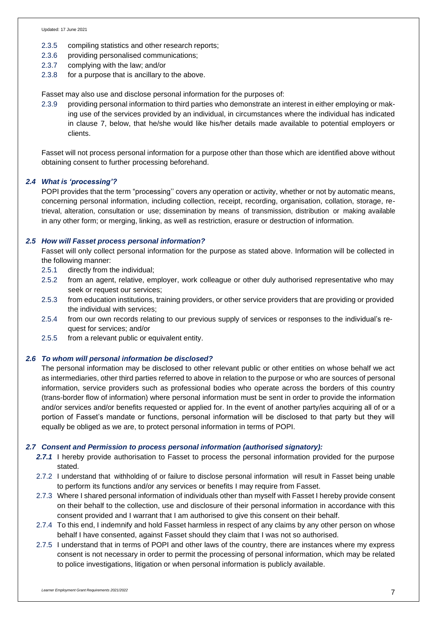- 2.3.5 compiling statistics and other research reports;
- 2.3.6 providing personalised communications;
- 2.3.7 complying with the law; and/or
- 2.3.8 for a purpose that is ancillary to the above.

Fasset may also use and disclose personal information for the purposes of:

2.3.9 providing personal information to third parties who demonstrate an interest in either employing or making use of the services provided by an individual, in circumstances where the individual has indicated in clause 7, below, that he/she would like his/her details made available to potential employers or clients.

Fasset will not process personal information for a purpose other than those which are identified above without obtaining consent to further processing beforehand.

### *2.4 What is 'processing'?*

POPI provides that the term "processing'' covers any operation or activity, whether or not by automatic means, concerning personal information, including collection, receipt, recording, organisation, collation, storage, retrieval, alteration, consultation or use; dissemination by means of transmission, distribution or making available in any other form; or merging, linking, as well as restriction, erasure or destruction of information.

### *2.5 How will Fasset process personal information?*

Fasset will only collect personal information for the purpose as stated above. Information will be collected in the following manner:

- 2.5.1 directly from the individual;
- 2.5.2 from an agent, relative, employer, work colleague or other duly authorised representative who may seek or request our services;
- 2.5.3 from education institutions, training providers, or other service providers that are providing or provided the individual with services;
- 2.5.4 from our own records relating to our previous supply of services or responses to the individual's request for services; and/or
- 2.5.5 from a relevant public or equivalent entity.

#### *2.6 To whom will personal information be disclosed?*

The personal information may be disclosed to other relevant public or other entities on whose behalf we act as intermediaries, other third parties referred to above in relation to the purpose or who are sources of personal information, service providers such as professional bodies who operate across the borders of this country (trans-border flow of information) where personal information must be sent in order to provide the information and/or services and/or benefits requested or applied for. In the event of another party/ies acquiring all of or a portion of Fasset's mandate or functions, personal information will be disclosed to that party but they will equally be obliged as we are, to protect personal information in terms of POPI.

### *2.7 Consent and Permission to process personal information (authorised signatory):*

- *2.7.1* I hereby provide authorisation to Fasset to process the personal information provided for the purpose stated.
- 2.7.2 I understand that withholding of or failure to disclose personal information will result in Fasset being unable to perform its functions and/or any services or benefits I may require from Fasset.
- 2.7.3 Where I shared personal information of individuals other than myself with Fasset I hereby provide consent on their behalf to the collection, use and disclosure of their personal information in accordance with this consent provided and I warrant that I am authorised to give this consent on their behalf.
- 2.7.4 To this end, I indemnify and hold Fasset harmless in respect of any claims by any other person on whose behalf I have consented, against Fasset should they claim that I was not so authorised.
- 2.7.5 I understand that in terms of POPI and other laws of the country, there are instances where my express consent is not necessary in order to permit the processing of personal information, which may be related to police investigations, litigation or when personal information is publicly available.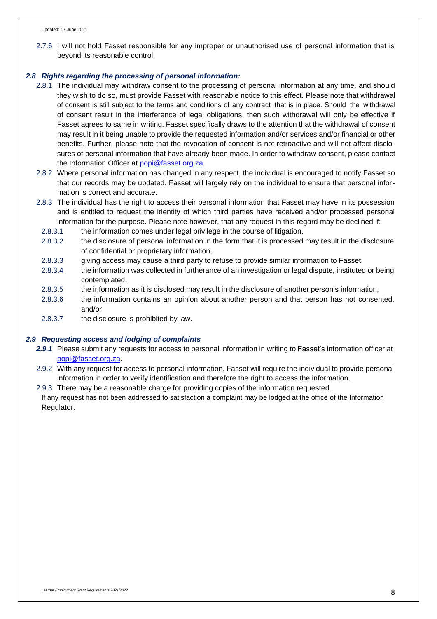2.7.6 I will not hold Fasset responsible for any improper or unauthorised use of personal information that is beyond its reasonable control.

### *2.8 Rights regarding the processing of personal information:*

- 2.8.1 The individual may withdraw consent to the processing of personal information at any time, and should they wish to do so, must provide Fasset with reasonable notice to this effect. Please note that withdrawal of consent is still subject to the terms and conditions of any contract that is in place. Should the withdrawal of consent result in the interference of legal obligations, then such withdrawal will only be effective if Fasset agrees to same in writing. Fasset specifically draws to the attention that the withdrawal of consent may result in it being unable to provide the requested information and/or services and/or financial or other benefits. Further, please note that the revocation of consent is not retroactive and will not affect disclosures of personal information that have already been made. In order to withdraw consent, please contact the Information Officer at [popi@fasset.org.za.](mailto:popi@fasset.org.za)
- 2.8.2 Where personal information has changed in any respect, the individual is encouraged to notify Fasset so that our records may be updated. Fasset will largely rely on the individual to ensure that personal information is correct and accurate.
- 2.8.3 The individual has the right to access their personal information that Fasset may have in its possession and is entitled to request the identity of which third parties have received and/or processed personal information for the purpose. Please note however, that any request in this regard may be declined if:
	- 2.8.3.1 the information comes under legal privilege in the course of litigation,
	- 2.8.3.2 the disclosure of personal information in the form that it is processed may result in the disclosure of confidential or proprietary information,
	- 2.8.3.3 giving access may cause a third party to refuse to provide similar information to Fasset,
	- 2.8.3.4 the information was collected in furtherance of an investigation or legal dispute, instituted or being contemplated,
	- 2.8.3.5 the information as it is disclosed may result in the disclosure of another person's information,
	- 2.8.3.6 the information contains an opinion about another person and that person has not consented, and/or
- 2.8.3.7 the disclosure is prohibited by law.

### *2.9 Requesting access and lodging of complaints*

- *2.9.1* Please submit any requests for access to personal information in writing to Fasset's information officer at [popi@fasset.org.za.](mailto:popi@fasset.org.za)
- 2.9.2 With any request for access to personal information, Fasset will require the individual to provide personal information in order to verify identification and therefore the right to access the information.
- 2.9.3 There may be a reasonable charge for providing copies of the information requested.

If any request has not been addressed to satisfaction a complaint may be lodged at the office of the Information Regulator.